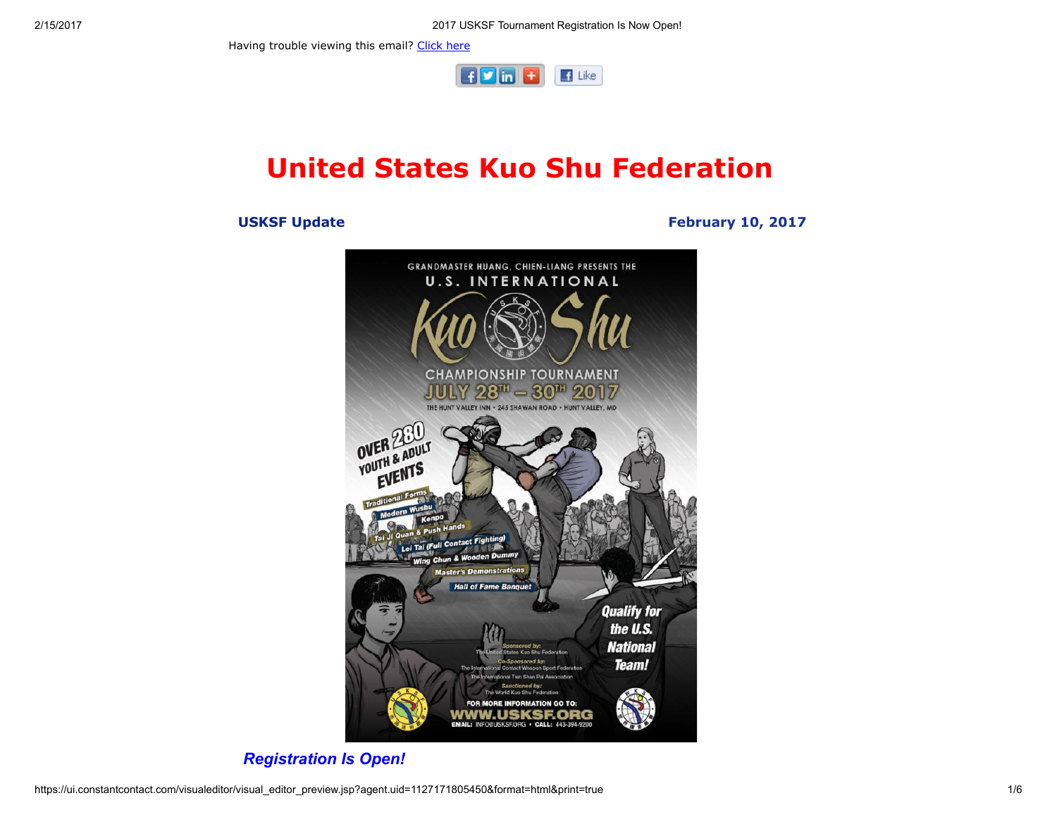2/15/2017 2017 USKSF Tournament Registration Is Now Open!

Having trouble viewing this email? [Click](http://campaign.r20.constantcontact.com/render?ca=1671ae7d-d5a6-40c4-b1a4-eec92865af57&preview=true&m=1101951016402&id=preview) here



# United States Kuo Shu Federation

### USKSF Update February 10, 2017



Registration Is Open!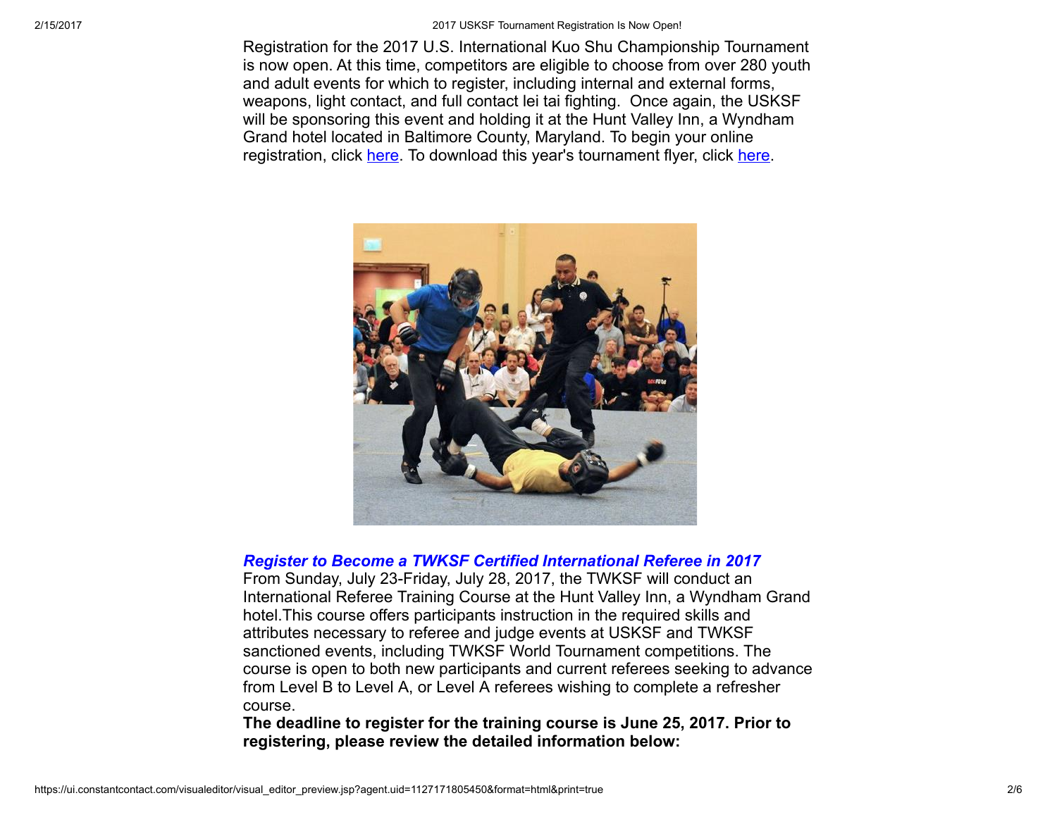2/15/2017 2017 USKSF Tournament Registration Is Now Open!

Registration for the 2017 U.S. International Kuo Shu Championship Tournament is now open. At this time, competitors are eligible to choose from over 280 youth and adult events for which to register, including internal and external forms, weapons, light contact, and full contact lei tai fighting. Once again, the USKSF will be sponsoring this event and holding it at the Hunt Valley Inn, a Wyndham Grand hotel located in Baltimore County, Maryland. To begin your online registration, click [here.](http://www.wu-kui-tang.com/usksf/registration/welcome.aspx) To download this year's tournament flyer, click [here](http://usksf.org/the-2017-kuo-shu-tournament-flyer-now-available/).



#### Register to Become a TWKSF Certified International Referee in 2017

From Sunday, July 23-Friday, July 28, 2017, the TWKSF will conduct an International Referee Training Course at the Hunt Valley Inn, a Wyndham Grand hotel.This course offers participants instruction in the required skills and attributes necessary to referee and judge events at USKSF and TWKSF sanctioned events, including TWKSF World Tournament competitions. The course is open to both new participants and current referees seeking to advance from Level B to Level A, or Level A referees wishing to complete a refresher course.

The deadline to register for the training course is June 25, 2017. Prior to registering, please review the detailed information below: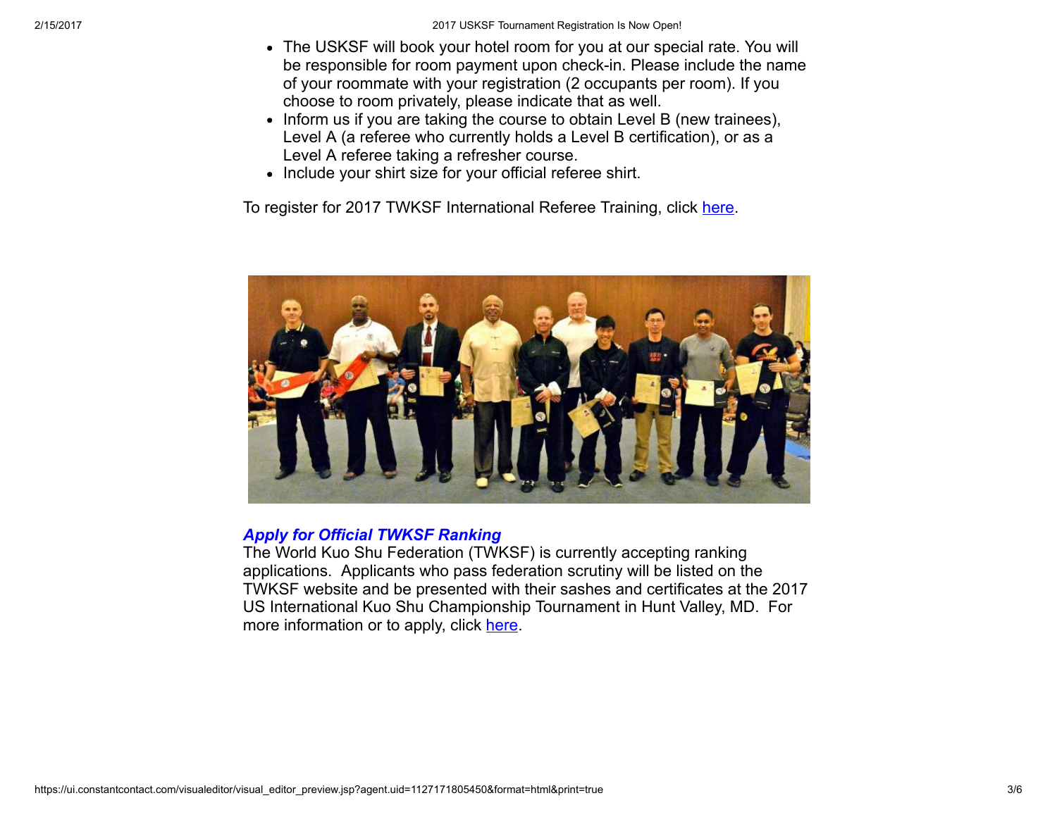- The USKSF will book your hotel room for you at our special rate. You will be responsible for room payment upon check-in. Please include the name of your roommate with your registration (2 occupants per room). If you choose to room privately, please indicate that as well.
- Inform us if you are taking the course to obtain Level B (new trainees), Level A (a referee who currently holds a Level B certification), or as a Level A referee taking a refresher course.
- Include your shirt size for your official referee shirt.

To register for 2017 TWKSF International Referee Training, click [here](http://www.wu-kui-tang.com/usksf/registration/welcome.aspx).



# Apply for Official TWKSF Ranking

The World Kuo Shu Federation (TWKSF) is currently accepting ranking applications. Applicants who pass federation scrutiny will be listed on the TWKSF website and be presented with their sashes and certificates at the 2017 US International Kuo Shu Championship Tournament in Hunt Valley, MD. For more information or to apply, click [here](http://twksf.org/join-us/ranking-certification-2/).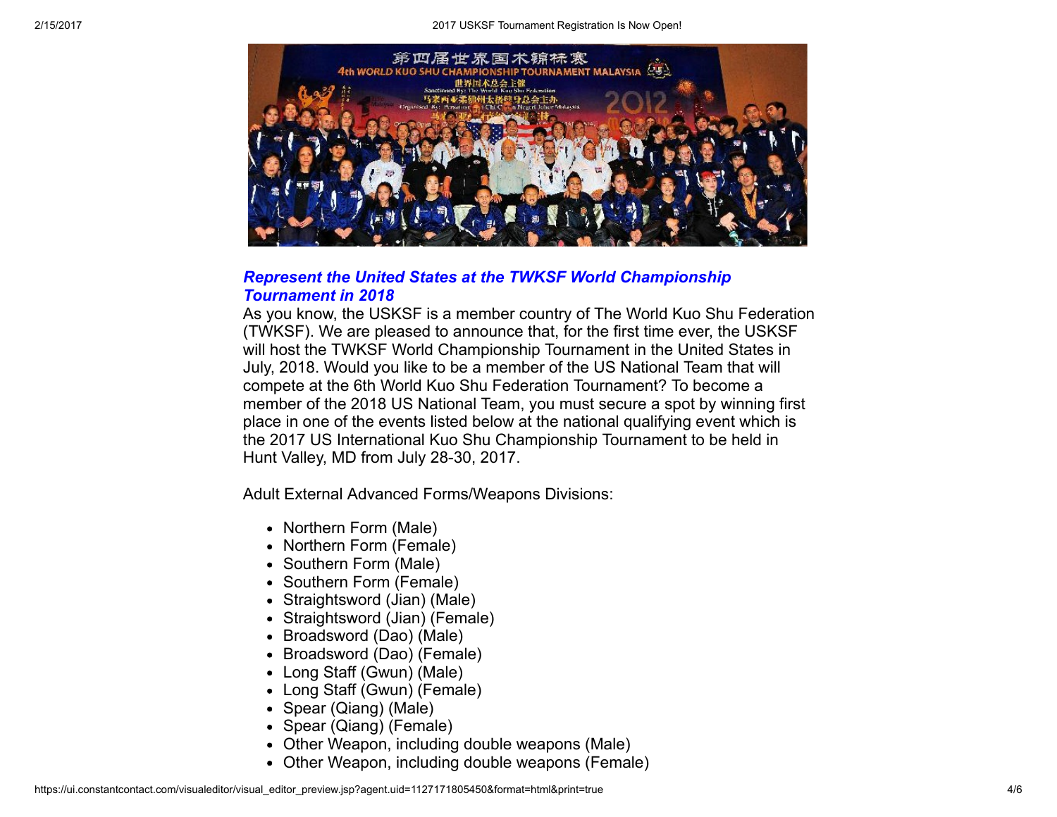

## Represent the United States at the TWKSF World Championship Tournament in 2018

As you know, the USKSF is a member country of The World Kuo Shu Federation (TWKSF). We are pleased to announce that, for the first time ever, the USKSF will host the TWKSF World Championship Tournament in the United States in July, 2018. Would you like to be a member of the US National Team that will compete at the 6th World Kuo Shu Federation Tournament? To become a member of the 2018 US National Team, you must secure a spot by winning first place in one of the events listed below at the national qualifying event which is the 2017 US International Kuo Shu Championship Tournament to be held in Hunt Valley, MD from July 28-30, 2017.

Adult External Advanced Forms/Weapons Divisions:

- Northern Form (Male)
- Northern Form (Female)
- Southern Form (Male)
- Southern Form (Female)
- Straightsword (Jian) (Male)
- Straightsword (Jian) (Female)
- Broadsword (Dao) (Male)
- Broadsword (Dao) (Female)
- Long Staff (Gwun) (Male)
- Long Staff (Gwun) (Female)
- Spear (Qiang) (Male)
- Spear (Qiang) (Female)
- Other Weapon, including double weapons (Male)
- Other Weapon, including double weapons (Female)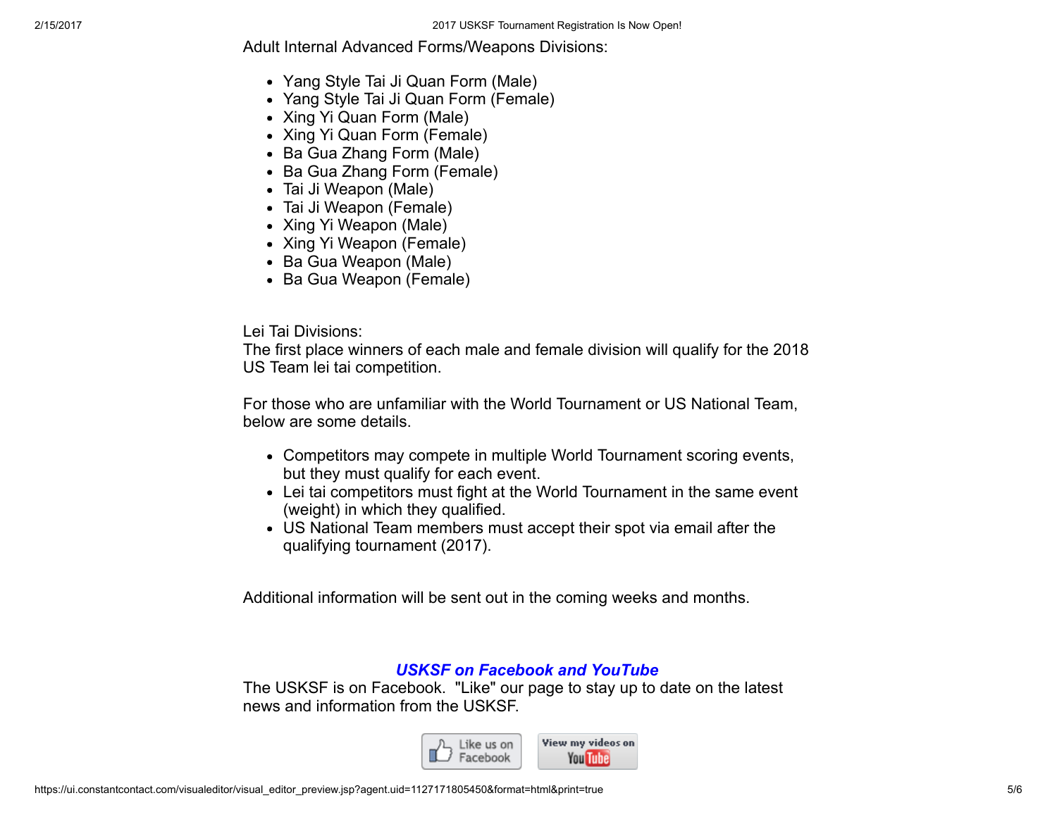Adult Internal Advanced Forms/Weapons Divisions:

- Yang Style Tai Ji Quan Form (Male)
- Yang Style Tai Ji Quan Form (Female)
- Xing Yi Quan Form (Male)
- Xing Yi Quan Form (Female)
- Ba Gua Zhang Form (Male)
- Ba Gua Zhang Form (Female)
- Tai Ji Weapon (Male)
- Tai Ji Weapon (Female)
- Xing Yi Weapon (Male)
- Xing Yi Weapon (Female)
- Ba Gua Weapon (Male)
- Ba Gua Weapon (Female)

Lei Tai Divisions:

The first place winners of each male and female division will qualify for the 2018 US Team lei tai competition.

For those who are unfamiliar with the World Tournament or US National Team, below are some details.

- Competitors may compete in multiple World Tournament scoring events, but they must qualify for each event.
- Lei tai competitors must fight at the World Tournament in the same event (weight) in which they qualified.
- US National Team members must accept their spot via email after the qualifying tournament (2017).

Additional information will be sent out in the coming weeks and months.

# USKSF on Facebook and YouTube

The USKSF is on Facebook. "Like" our page to stay up to date on the latest news and information from the USKSF.